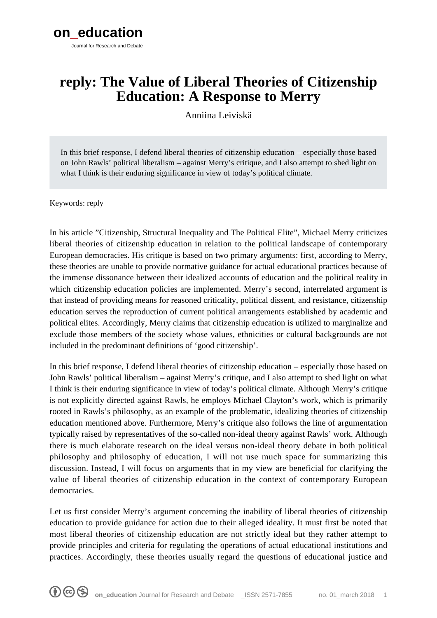# **reply: The Value of Liberal Theories of Citizenship Education: A Response to Merry**

Anniina Leiviskä

In this brief response, I defend liberal theories of citizenship education – especially those based on John Rawls' political liberalism – against Merry's critique, and I also attempt to shed light on what I think is their enduring significance in view of today's political climate.

Keywords: reply

In his article "Citizenship, Structural Inequality and The Political Elite", Michael Merry criticizes liberal theories of citizenship education in relation to the political landscape of contemporary European democracies. His critique is based on two primary arguments: first, according to Merry, these theories are unable to provide normative guidance for actual educational practices because of the immense dissonance between their idealized accounts of education and the political reality in which citizenship education policies are implemented. Merry's second, interrelated argument is that instead of providing means for reasoned criticality, political dissent, and resistance, citizenship education serves the reproduction of current political arrangements established by academic and political elites. Accordingly, Merry claims that citizenship education is utilized to marginalize and exclude those members of the society whose values, ethnicities or cultural backgrounds are not included in the predominant definitions of 'good citizenship'.

In this brief response, I defend liberal theories of citizenship education – especially those based on John Rawls' political liberalism – against Merry's critique, and I also attempt to shed light on what I think is their enduring significance in view of today's political climate. Although Merry's critique is not explicitly directed against Rawls, he employs Michael Clayton's work, which is primarily rooted in Rawls's philosophy, as an example of the problematic, idealizing theories of citizenship education mentioned above. Furthermore, Merry's critique also follows the line of argumentation typically raised by representatives of the so-called non-ideal theory against Rawls' work. Although there is much elaborate research on the ideal versus non-ideal theory debate in both political philosophy and philosophy of education, I will not use much space for summarizing this discussion. Instead, I will focus on arguments that in my view are beneficial for clarifying the value of liberal theories of citizenship education in the context of contemporary European democracies.

Let us first consider Merry's argument concerning the inability of liberal theories of citizenship education to provide guidance for action due to their alleged ideality. It must first be noted that most liberal theories of citizenship education are not strictly ideal but they rather attempt to provide principles and criteria for regulating the operations of actual educational institutions and practices. Accordingly, these theories usually regard the questions of educational justice and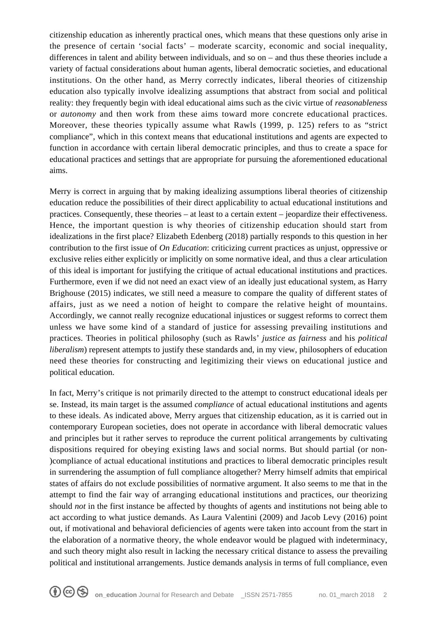citizenship education as inherently practical ones, which means that these questions only arise in the presence of certain 'social facts' – moderate scarcity, economic and social inequality, differences in talent and ability between individuals, and so on – and thus these theories include a variety of factual considerations about human agents, liberal democratic societies, and educational institutions. On the other hand, as Merry correctly indicates, liberal theories of citizenship education also typically involve idealizing assumptions that abstract from social and political reality: they frequently begin with ideal educational aims such as the civic virtue of *reasonableness* or *autonomy* and then work from these aims toward more concrete educational practices. Moreover, these theories typically assume what Rawls (1999, p. 125) refers to as "strict compliance", which in this context means that educational institutions and agents are expected to function in accordance with certain liberal democratic principles, and thus to create a space for educational practices and settings that are appropriate for pursuing the aforementioned educational aims.

Merry is correct in arguing that by making idealizing assumptions liberal theories of citizenship education reduce the possibilities of their direct applicability to actual educational institutions and practices. Consequently, these theories – at least to a certain extent – jeopardize their effectiveness. Hence, the important question is why theories of citizenship education should start from idealizations in the first place? Elizabeth Edenberg (2018) partially responds to this question in her contribution to the first issue of *On Education*: criticizing current practices as unjust, oppressive or exclusive relies either explicitly or implicitly on some normative ideal, and thus a clear articulation of this ideal is important for justifying the critique of actual educational institutions and practices. Furthermore, even if we did not need an exact view of an ideally just educational system, as Harry Brighouse (2015) indicates, we still need a measure to compare the quality of different states of affairs, just as we need a notion of height to compare the relative height of mountains. Accordingly, we cannot really recognize educational injustices or suggest reforms to correct them unless we have some kind of a standard of justice for assessing prevailing institutions and practices. Theories in political philosophy (such as Rawls' *justice as fairness* and his *political liberalism*) represent attempts to justify these standards and, in my view, philosophers of education need these theories for constructing and legitimizing their views on educational justice and political education.

In fact, Merry's critique is not primarily directed to the attempt to construct educational ideals per se. Instead, its main target is the assumed *compliance* of actual educational institutions and agents to these ideals. As indicated above, Merry argues that citizenship education, as it is carried out in contemporary European societies, does not operate in accordance with liberal democratic values and principles but it rather serves to reproduce the current political arrangements by cultivating dispositions required for obeying existing laws and social norms. But should partial (or non- )compliance of actual educational institutions and practices to liberal democratic principles result in surrendering the assumption of full compliance altogether? Merry himself admits that empirical states of affairs do not exclude possibilities of normative argument. It also seems to me that in the attempt to find the fair way of arranging educational institutions and practices, our theorizing should *not* in the first instance be affected by thoughts of agents and institutions not being able to act according to what justice demands. As Laura Valentini (2009) and Jacob Levy (2016) point out, if motivational and behavioral deficiencies of agents were taken into account from the start in the elaboration of a normative theory, the whole endeavor would be plagued with indeterminacy, and such theory might also result in lacking the necessary critical distance to assess the prevailing political and institutional arrangements. Justice demands analysis in terms of full compliance, even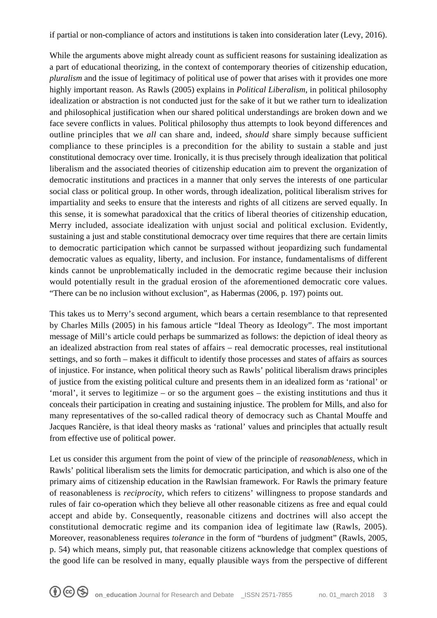if partial or non-compliance of actors and institutions is taken into consideration later (Levy, 2016).

While the arguments above might already count as sufficient reasons for sustaining idealization as a part of educational theorizing, in the context of contemporary theories of citizenship education, *pluralism* and the issue of legitimacy of political use of power that arises with it provides one more highly important reason. As Rawls (2005) explains in *Political Liberalism*, in political philosophy idealization or abstraction is not conducted just for the sake of it but we rather turn to idealization and philosophical justification when our shared political understandings are broken down and we face severe conflicts in values. Political philosophy thus attempts to look beyond differences and outline principles that we *all* can share and, indeed, *should* share simply because sufficient compliance to these principles is a precondition for the ability to sustain a stable and just constitutional democracy over time. Ironically, it is thus precisely through idealization that political liberalism and the associated theories of citizenship education aim to prevent the organization of democratic institutions and practices in a manner that only serves the interests of one particular social class or political group. In other words, through idealization, political liberalism strives for impartiality and seeks to ensure that the interests and rights of all citizens are served equally. In this sense, it is somewhat paradoxical that the critics of liberal theories of citizenship education, Merry included, associate idealization with unjust social and political exclusion. Evidently, sustaining a just and stable constitutional democracy over time requires that there are certain limits to democratic participation which cannot be surpassed without jeopardizing such fundamental democratic values as equality, liberty, and inclusion. For instance, fundamentalisms of different kinds cannot be unproblematically included in the democratic regime because their inclusion would potentially result in the gradual erosion of the aforementioned democratic core values. "There can be no inclusion without exclusion", as Habermas (2006, p. 197) points out.

This takes us to Merry's second argument, which bears a certain resemblance to that represented by Charles Mills (2005) in his famous article "Ideal Theory as Ideology". The most important message of Mill's article could perhaps be summarized as follows: the depiction of ideal theory as an idealized abstraction from real states of affairs – real democratic processes, real institutional settings, and so forth – makes it difficult to identify those processes and states of affairs as sources of injustice. For instance, when political theory such as Rawls' political liberalism draws principles of justice from the existing political culture and presents them in an idealized form as 'rational' or 'moral', it serves to legitimize – or so the argument goes – the existing institutions and thus it conceals their participation in creating and sustaining injustice. The problem for Mills, and also for many representatives of the so-called radical theory of democracy such as Chantal Mouffe and Jacques Rancière, is that ideal theory masks as 'rational' values and principles that actually result from effective use of political power.

Let us consider this argument from the point of view of the principle of *reasonableness*, which in Rawls' political liberalism sets the limits for democratic participation, and which is also one of the primary aims of citizenship education in the Rawlsian framework. For Rawls the primary feature of reasonableness is *reciprocity*, which refers to citizens' willingness to propose standards and rules of fair co-operation which they believe all other reasonable citizens as free and equal could accept and abide by. Consequently, reasonable citizens and doctrines will also accept the constitutional democratic regime and its companion idea of legitimate law (Rawls, 2005). Moreover, reasonableness requires *tolerance* in the form of "burdens of judgment" (Rawls, 2005, p. 54) which means, simply put, that reasonable citizens acknowledge that complex questions of the good life can be resolved in many, equally plausible ways from the perspective of different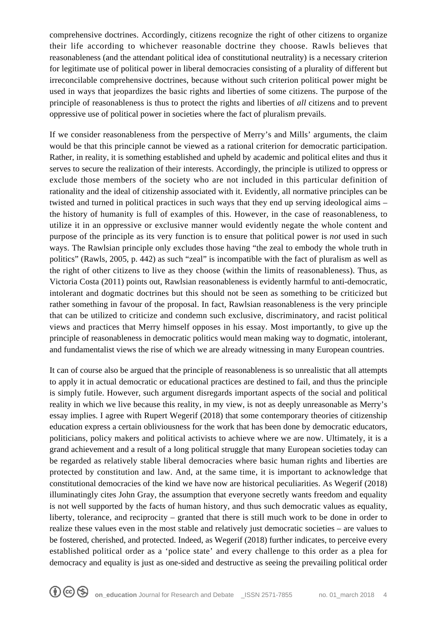comprehensive doctrines. Accordingly, citizens recognize the right of other citizens to organize their life according to whichever reasonable doctrine they choose. Rawls believes that reasonableness (and the attendant political idea of constitutional neutrality) is a necessary criterion for legitimate use of political power in liberal democracies consisting of a plurality of different but irreconcilable comprehensive doctrines, because without such criterion political power might be used in ways that jeopardizes the basic rights and liberties of some citizens. The purpose of the principle of reasonableness is thus to protect the rights and liberties of *all* citizens and to prevent oppressive use of political power in societies where the fact of pluralism prevails.

If we consider reasonableness from the perspective of Merry's and Mills' arguments, the claim would be that this principle cannot be viewed as a rational criterion for democratic participation. Rather, in reality, it is something established and upheld by academic and political elites and thus it serves to secure the realization of their interests. Accordingly, the principle is utilized to oppress or exclude those members of the society who are not included in this particular definition of rationality and the ideal of citizenship associated with it. Evidently, all normative principles can be twisted and turned in political practices in such ways that they end up serving ideological aims – the history of humanity is full of examples of this. However, in the case of reasonableness, to utilize it in an oppressive or exclusive manner would evidently negate the whole content and purpose of the principle as its very function is to ensure that political power is *not* used in such ways. The Rawlsian principle only excludes those having "the zeal to embody the whole truth in politics" (Rawls, 2005, p. 442) as such "zeal" is incompatible with the fact of pluralism as well as the right of other citizens to live as they choose (within the limits of reasonableness). Thus, as Victoria Costa (2011) points out, Rawlsian reasonableness is evidently harmful to anti-democratic, intolerant and dogmatic doctrines but this should not be seen as something to be criticized but rather something in favour of the proposal. In fact, Rawlsian reasonableness is the very principle that can be utilized to criticize and condemn such exclusive, discriminatory, and racist political views and practices that Merry himself opposes in his essay. Most importantly, to give up the principle of reasonableness in democratic politics would mean making way to dogmatic, intolerant, and fundamentalist views the rise of which we are already witnessing in many European countries.

It can of course also be argued that the principle of reasonableness is so unrealistic that all attempts to apply it in actual democratic or educational practices are destined to fail, and thus the principle is simply futile. However, such argument disregards important aspects of the social and political reality in which we live because this reality, in my view, is not as deeply unreasonable as Merry's essay implies. I agree with Rupert Wegerif (2018) that some contemporary theories of citizenship education express a certain obliviousness for the work that has been done by democratic educators, politicians, policy makers and political activists to achieve where we are now. Ultimately, it is a grand achievement and a result of a long political struggle that many European societies today can be regarded as relatively stable liberal democracies where basic human rights and liberties are protected by constitution and law. And, at the same time, it is important to acknowledge that constitutional democracies of the kind we have now are historical peculiarities. As Wegerif (2018) illuminatingly cites John Gray, the assumption that everyone secretly wants freedom and equality is not well supported by the facts of human history, and thus such democratic values as equality, liberty, tolerance, and reciprocity – granted that there is still much work to be done in order to realize these values even in the most stable and relatively just democratic societies – are values to be fostered, cherished, and protected. Indeed, as Wegerif (2018) further indicates, to perceive every established political order as a 'police state' and every challenge to this order as a plea for democracy and equality is just as one-sided and destructive as seeing the prevailing political order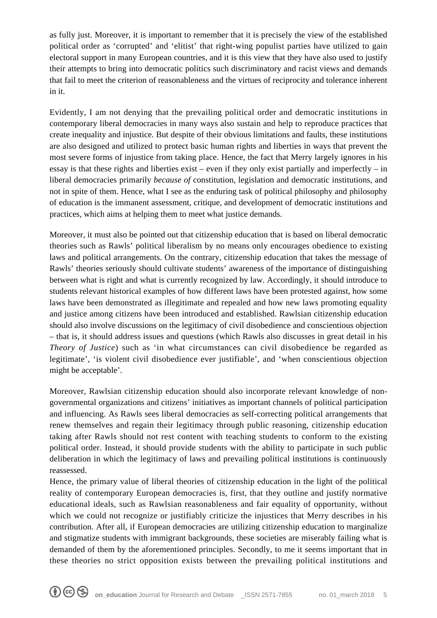as fully just. Moreover, it is important to remember that it is precisely the view of the established political order as 'corrupted' and 'elitist' that right-wing populist parties have utilized to gain electoral support in many European countries, and it is this view that they have also used to justify their attempts to bring into democratic politics such discriminatory and racist views and demands that fail to meet the criterion of reasonableness and the virtues of reciprocity and tolerance inherent in it.

Evidently, I am not denying that the prevailing political order and democratic institutions in contemporary liberal democracies in many ways also sustain and help to reproduce practices that create inequality and injustice. But despite of their obvious limitations and faults, these institutions are also designed and utilized to protect basic human rights and liberties in ways that prevent the most severe forms of injustice from taking place. Hence, the fact that Merry largely ignores in his essay is that these rights and liberties exist – even if they only exist partially and imperfectly – in liberal democracies primarily *because of* constitution, legislation and democratic institutions, and not in spite of them. Hence, what I see as the enduring task of political philosophy and philosophy of education is the immanent assessment, critique, and development of democratic institutions and practices, which aims at helping them to meet what justice demands.

Moreover, it must also be pointed out that citizenship education that is based on liberal democratic theories such as Rawls' political liberalism by no means only encourages obedience to existing laws and political arrangements. On the contrary, citizenship education that takes the message of Rawls' theories seriously should cultivate students' awareness of the importance of distinguishing between what is right and what is currently recognized by law. Accordingly, it should introduce to students relevant historical examples of how different laws have been protested against, how some laws have been demonstrated as illegitimate and repealed and how new laws promoting equality and justice among citizens have been introduced and established. Rawlsian citizenship education should also involve discussions on the legitimacy of civil disobedience and conscientious objection – that is, it should address issues and questions (which Rawls also discusses in great detail in his *Theory of Justice*) such as 'in what circumstances can civil disobedience be regarded as legitimate', 'is violent civil disobedience ever justifiable', and 'when conscientious objection might be acceptable'.

Moreover, Rawlsian citizenship education should also incorporate relevant knowledge of nongovernmental organizations and citizens' initiatives as important channels of political participation and influencing. As Rawls sees liberal democracies as self-correcting political arrangements that renew themselves and regain their legitimacy through public reasoning, citizenship education taking after Rawls should not rest content with teaching students to conform to the existing political order. Instead, it should provide students with the ability to participate in such public deliberation in which the legitimacy of laws and prevailing political institutions is continuously reassessed.

Hence, the primary value of liberal theories of citizenship education in the light of the political reality of contemporary European democracies is, first, that they outline and justify normative educational ideals, such as Rawlsian reasonableness and fair equality of opportunity, without which we could not recognize or justifiably criticize the injustices that Merry describes in his contribution. After all, if European democracies are utilizing citizenship education to marginalize and stigmatize students with immigrant backgrounds, these societies are miserably failing what is demanded of them by the aforementioned principles. Secondly, to me it seems important that in these theories no strict opposition exists between the prevailing political institutions and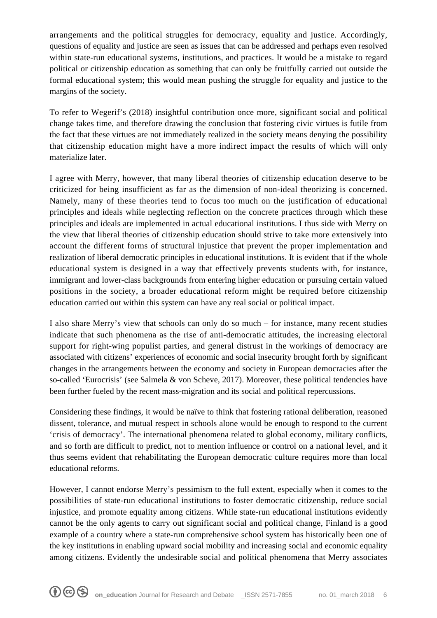arrangements and the political struggles for democracy, equality and justice. Accordingly, questions of equality and justice are seen as issues that can be addressed and perhaps even resolved within state-run educational systems, institutions, and practices. It would be a mistake to regard political or citizenship education as something that can only be fruitfully carried out outside the formal educational system; this would mean pushing the struggle for equality and justice to the margins of the society.

To refer to Wegerif's (2018) insightful contribution once more, significant social and political change takes time, and therefore drawing the conclusion that fostering civic virtues is futile from the fact that these virtues are not immediately realized in the society means denying the possibility that citizenship education might have a more indirect impact the results of which will only materialize later.

I agree with Merry, however, that many liberal theories of citizenship education deserve to be criticized for being insufficient as far as the dimension of non-ideal theorizing is concerned. Namely, many of these theories tend to focus too much on the justification of educational principles and ideals while neglecting reflection on the concrete practices through which these principles and ideals are implemented in actual educational institutions. I thus side with Merry on the view that liberal theories of citizenship education should strive to take more extensively into account the different forms of structural injustice that prevent the proper implementation and realization of liberal democratic principles in educational institutions. It is evident that if the whole educational system is designed in a way that effectively prevents students with, for instance, immigrant and lower-class backgrounds from entering higher education or pursuing certain valued positions in the society, a broader educational reform might be required before citizenship education carried out within this system can have any real social or political impact.

I also share Merry's view that schools can only do so much – for instance, many recent studies indicate that such phenomena as the rise of anti-democratic attitudes, the increasing electoral support for right-wing populist parties, and general distrust in the workings of democracy are associated with citizens' experiences of economic and social insecurity brought forth by significant changes in the arrangements between the economy and society in European democracies after the so-called 'Eurocrisis' (see Salmela & von Scheve, 2017). Moreover, these political tendencies have been further fueled by the recent mass-migration and its social and political repercussions.

Considering these findings, it would be naïve to think that fostering rational deliberation, reasoned dissent, tolerance, and mutual respect in schools alone would be enough to respond to the current 'crisis of democracy'. The international phenomena related to global economy, military conflicts, and so forth are difficult to predict, not to mention influence or control on a national level, and it thus seems evident that rehabilitating the European democratic culture requires more than local educational reforms.

However, I cannot endorse Merry's pessimism to the full extent, especially when it comes to the possibilities of state-run educational institutions to foster democratic citizenship, reduce social injustice, and promote equality among citizens. While state-run educational institutions evidently cannot be the only agents to carry out significant social and political change, Finland is a good example of a country where a state-run comprehensive school system has historically been one of the key institutions in enabling upward social mobility and increasing social and economic equality among citizens. Evidently the undesirable social and political phenomena that Merry associates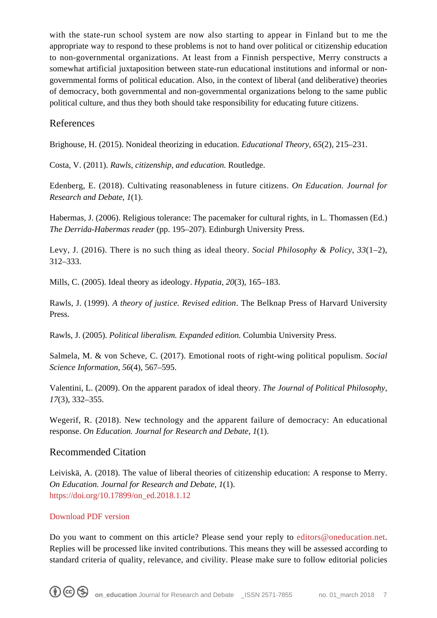with the state-run school system are now also starting to appear in Finland but to me the appropriate way to respond to these problems is not to hand over political or citizenship education to non-governmental organizations. At least from a Finnish perspective, Merry constructs a somewhat artificial juxtaposition between state-run educational institutions and informal or nongovernmental forms of political education. Also, in the context of liberal (and deliberative) theories of democracy, both governmental and non-governmental organizations belong to the same public political culture, and thus they both should take responsibility for educating future citizens.

## References

Brighouse, H. (2015). Nonideal theorizing in education. *Educational Theory, 65*(2), 215–231.

Costa, V. (2011). *Rawls, citizenship, and education.* Routledge.

Edenberg, E. (2018). Cultivating reasonableness in future citizens. *On Education. Journal for Research and Debate, 1*(1).

Habermas, J. (2006). Religious tolerance: The pacemaker for cultural rights, in L. Thomassen (Ed.) *The Derrida-Habermas reader* (pp. 195–207). Edinburgh University Press.

Levy, J. (2016). There is no such thing as ideal theory. *Social Philosophy & Policy, 33*(1–2), 312–333.

Mills, C. (2005). Ideal theory as ideology. *Hypatia, 20*(3), 165–183.

Rawls, J. (1999). *A theory of justice. Revised edition*. The Belknap Press of Harvard University Press.

Rawls, J. (2005). *Political liberalism. Expanded edition.* Columbia University Press.

Salmela, M. & von Scheve, C. (2017). Emotional roots of right-wing political populism. *Social Science Information, 56*(4), 567–595.

Valentini, L. (2009). On the apparent paradox of ideal theory. *The Journal of Political Philosophy, 17*(3), 332–355.

Wegerif, R. (2018). New technology and the apparent failure of democracy: An educational response. *On Education. Journal for Research and Debate, 1*(1).

### Recommended Citation

Leiviskä, A. (2018). The value of liberal theories of citizenship education: A response to Merry. *On Education. Journal for Research and Debate, 1*(1). [https://doi.org/10.17899/on\\_ed.2018.1.12](https://doi.org/10.17899/on_ed.2018.1.12)

### [Download PDF version](https://www.oneducation.net/wp-content/uploads/2018/08/10.17899_on_ed.2018.1.12.pdf)

Do you want to comment on this article? Please send your reply to [editors@oneducation.net.](mailto:editors@oneducation.net) Replies will be processed like invited contributions. This means they will be assessed according to standard criteria of quality, relevance, and civility. Please make sure to follow editorial policies